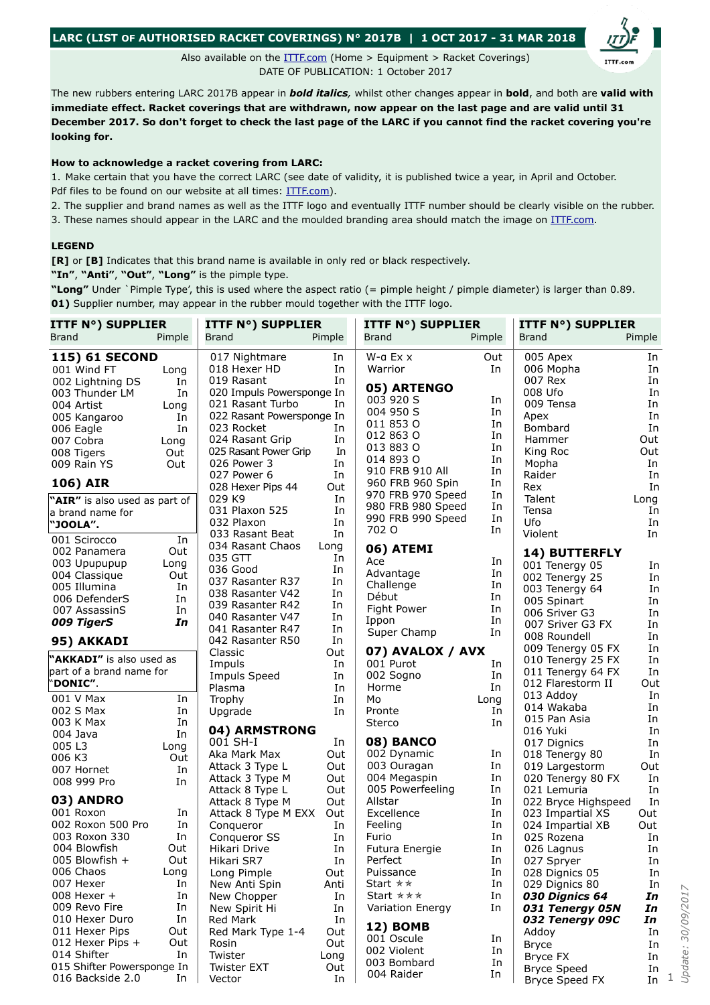## **LARC (LIST OF AUTHORISED RACKET COVERINGS) N° 2017B | 1 OCT 2017 - 31 MAR 2018**

Also available on the [ITTF.com](http://www.old.ittf.com/_front_page/ittf1.asp?category=rubber) (Home > Equipment > Racket Coverings) DATE OF PUBLICATION: 1 October 2017

The new rubbers entering LARC 2017B appear in *bold italics,* whilst other changes appear in **bold**, and both are **valid with immediate effect. Racket coverings that are withdrawn, now appear on the last page and are valid until 31 December 2017. So don't forget to check the last page of the LARC if you cannot find the racket covering you're looking for.**

## **How to acknowledge a racket covering from LARC:**

1. Make certain that you have the correct LARC (see date of validity, it is published twice a year, in April and October. Pdf files to be found on our website at all times: [ITTF.com](http://www.old.ittf.com/_front_page/ittf1.asp?category=rubber)).

2. The supplier and brand names as well as the ITTF logo and eventually ITTF number should be clearly visible on the rubber. 3. These names should appear in the LARC and the moulded branding area should match the image on [ITTF.com.](http://www.old.ittf.com/_front_page/ittf1.asp?category=rubber)

## **LEGEND**

**[R]** or **[B]** Indicates that this brand name is available in only red or black respectively.

**"In"**, **"Anti"**, **"Out"**, **"Long"** is the pimple type.

**"Long"** Under `Pimple Type', this is used where the aspect ratio (= pimple height / pimple diameter) is larger than 0.89. **01)** Supplier number, may appear in the rubber mould together with the ITTF logo.

| <b>ITTF N°) SUPPLIER</b>             |        | <b>ITTF N°) SUPPLIER</b>         |           | <b>ITTF N°) SUPPLIER</b>  |          | <b>ITTF N°) SUPPLIER</b>   |          |
|--------------------------------------|--------|----------------------------------|-----------|---------------------------|----------|----------------------------|----------|
| <b>Brand</b>                         | Pimple | <b>Brand</b>                     | Pimple    | <b>Brand</b>              | Pimple   | Brand                      | Pimple   |
| <b>115) 61 SECOND</b>                |        | 017 Nightmare                    | In        | $W$ -a Ex $x$             | Out      | 005 Apex                   | In       |
| 001 Wind FT                          | Long   | 018 Hexer HD                     | In        | Warrior                   | In       | 006 Mopha                  | In       |
| 002 Lightning DS                     | In     | 019 Rasant                       | In        |                           |          | 007 Rex                    | In       |
| 003 Thunder LM                       | In     | 020 Impuls Powersponge In        |           | 05) ARTENGO               |          | 008 Ufo                    | In       |
| 004 Artist                           | Long   | 021 Rasant Turbo                 | In        | 003 920 S                 | In       | 009 Tensa                  | In       |
| 005 Kangaroo                         | In     | 022 Rasant Powersponge In        |           | 004 950 S                 | In       | Apex                       | In       |
| 006 Eagle                            | In     | 023 Rocket                       | In        | 011 853 0                 | In       | Bombard                    | In       |
| 007 Cobra                            | Long   | 024 Rasant Grip                  | In        | 012 863 0                 | In<br>In | Hammer                     | Out      |
| 008 Tigers                           | Out    | 025 Rasant Power Grip            | In        | 013 883 0<br>014 893 0    | In       | King Roc                   | Out      |
| 009 Rain YS                          | Out    | 026 Power 3                      | In        | 910 FRB 910 All           | In       | Mopha                      | In       |
| <b>106) AIR</b>                      |        | 027 Power 6<br>028 Hexer Pips 44 | In<br>Out | 960 FRB 960 Spin          | In       | Raider<br>Rex              | In<br>In |
| "AIR" is also used as part of        |        | 029 K9                           | In        | 970 FRB 970 Speed         | In       | Talent                     | Long     |
| a brand name for                     |        | 031 Plaxon 525                   | In        | 980 FRB 980 Speed         | In       | Tensa                      | In       |
| "JOOLA".                             |        | 032 Plaxon                       | In        | 990 FRB 990 Speed         | In       | Ufo                        | In       |
|                                      |        | 033 Rasant Beat                  | In        | 702 O                     | In       | Violent                    | In       |
| 001 Scirocco                         | In     | 034 Rasant Chaos                 | Long      | 06) ATEMI                 |          |                            |          |
| 002 Panamera                         | Out    | 035 GTT                          | In        | Ace                       | In       | 14) BUTTERFLY              |          |
| 003 Upupupup                         | Long   | 036 Good                         | In        | Advantage                 | In       | 001 Tenergy 05             | In       |
| 004 Classique                        | Out    | 037 Rasanter R37                 | In        | Challenge                 | In       | 002 Tenergy 25             | In       |
| 005 Illumina                         | In     | 038 Rasanter V42                 | In        | Début                     | In       | 003 Tenergy 64             | In       |
| 006 DefenderS                        | In     | 039 Rasanter R42                 | In        | Fight Power               | In       | 005 Spinart                | In       |
| 007 AssassinS                        | In     | 040 Rasanter V47                 | In        | Ippon                     | In       | 006 Sriver G3              | In       |
| 009 TigerS                           | In     | 041 Rasanter R47                 | In        | Super Champ               | In       | 007 Sriver G3 FX           | In       |
| 95) AKKADI                           |        | 042 Rasanter R50                 | In        |                           |          | 008 Roundell               | In       |
|                                      |        | Classic                          | Out       | 07) AVALOX / AVX          |          | 009 Tenergy 05 FX          | In       |
| "AKKADI" is also used as             |        | Impuls                           | In        | 001 Purot                 | In       | 010 Tenergy 25 FX          | In       |
| part of a brand name for<br>"DONIC". |        | Impuls Speed                     | In        | 002 Sogno                 | In       | 011 Tenergy 64 FX          | In       |
|                                      |        | Plasma                           | In        | Horme                     | In       | 012 Flarestorm II          | Out      |
| 001 V Max                            | In     | Trophy                           | In        | Mo                        | Long     | 013 Addoy                  | In<br>In |
| 002 S Max                            | In     | Upgrade                          | In        | Pronte                    | In       | 014 Wakaba<br>015 Pan Asia | In       |
| 003 K Max                            | In     | 04) ARMSTRONG                    |           | <b>Sterco</b>             | In       | 016 Yuki                   | In       |
| 004 Java                             | In     | 001 SH-I                         | In        | 08) BANCO                 |          | 017 Dignics                | In       |
| 005 L3                               | Long   | Aka Mark Max                     | Out       | 002 Dynamic               | In       | 018 Tenergy 80             | In       |
| 006 K3                               | Out    | Attack 3 Type L                  | Out       | 003 Ouragan               | In       | 019 Largestorm             | Out      |
| 007 Hornet                           | In     | Attack 3 Type M                  | Out       | 004 Megaspin              | In       | 020 Tenergy 80 FX          | In       |
| 008 999 Pro                          | In     | Attack 8 Type L                  | Out       | 005 Powerfeeling          | In       | 021 Lemuria                | In       |
| 03) ANDRO                            |        | Attack 8 Type M                  | Out       | Allstar                   | In       | 022 Bryce Highspeed        | In       |
| 001 Roxon                            | In     | Attack 8 Type M EXX              | Out       | Excellence                | In       | 023 Impartial XS           | Out      |
| 002 Roxon 500 Pro                    | In     | Conqueror                        | In        | Feeling                   | In       | 024 Impartial XB           | Out      |
| 003 Roxon 330                        | In     | Conqueror SS                     | In        | Furio                     | In       | 025 Rozena                 | In       |
| 004 Blowfish                         | Out    | Hikari Drive                     | In        | Futura Energie            | In       | 026 Lagnus                 | In       |
| 005 Blowfish +                       | Out    | Hikari SR7                       | In        | Perfect                   | In       | 027 Spryer                 | In       |
| 006 Chaos                            | Long   | Long Pimple                      | Out       | Puissance                 | In       | 028 Dignics 05             | In       |
| 007 Hexer                            | In     | New Anti Spin                    | Anti      | Start ∗∗                  | In       | 029 Dignics 80             | In       |
| 008 Hexer +                          | In     | New Chopper                      | In        | Start $\star \star \star$ | In       | 030 Dignics 64             | In       |
| 009 Revo Fire                        | In     | New Spirit Hi                    | In        | Variation Energy          | In       | 031 Tenergy 05N            | In       |
| 010 Hexer Duro                       | In     | Red Mark                         | In        |                           |          | 032 Tenergy 09C            | In       |
| 011 Hexer Pips                       | Out    | Red Mark Type 1-4                | Out       | <b>12) BOMB</b>           |          | Addoy                      | In       |
| 012 Hexer Pips +                     | Out    | Rosin                            | Out       | 001 Oscule                | In       | <b>Bryce</b>               | In       |
| 014 Shifter                          | In     | Twister                          | Long      | 002 Violent               | In       | Bryce FX                   | In       |
| 015 Shifter Powersponge In           |        | <b>Twister EXT</b>               | Out       | 003 Bombard               | In       | <b>Bryce Speed</b>         | In       |
| 016 Backside 2.0                     | In     | Vector                           | In        | 004 Raider                | In       | Bryce Speed FX             | In       |

1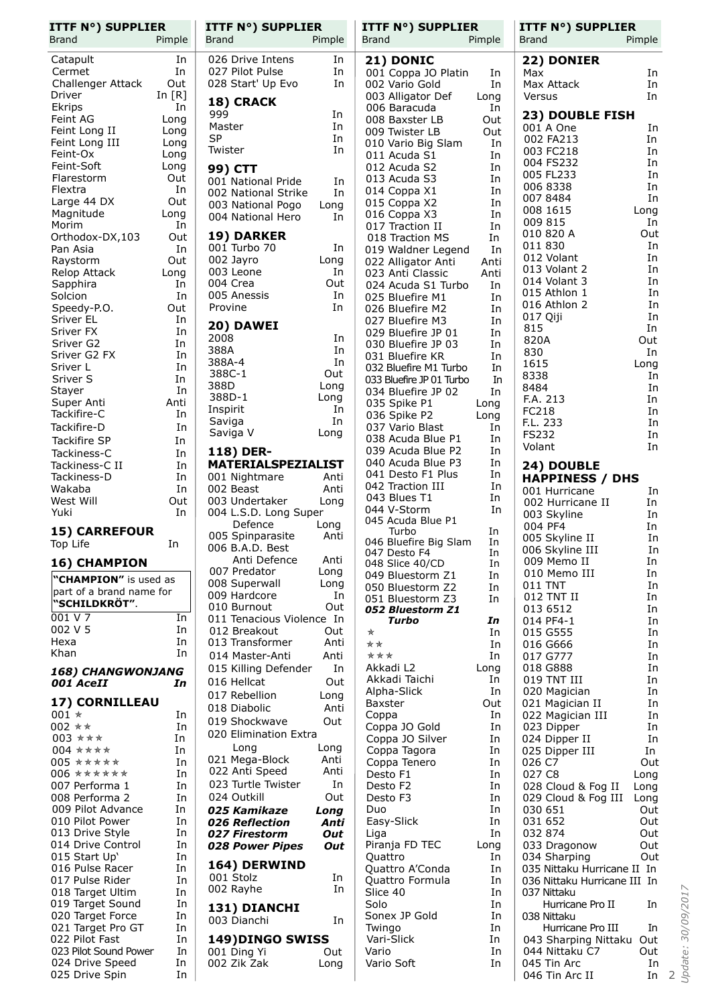| <b>ITTF N°) SUPPLIER</b><br><b>Brand</b> | Pimple     | ITTF N°) SUPPLIER<br><b>Brand</b>        | Pimple       | <b>ITTF N°) SUPPLIER</b><br>Brand        | Pimple       | <b>ITTF N°) SUPPLIER</b><br><b>Brand</b> | Pimple     |
|------------------------------------------|------------|------------------------------------------|--------------|------------------------------------------|--------------|------------------------------------------|------------|
| Catapult                                 | In         | 026 Drive Intens                         | In           | 21) DONIC                                |              | 22) DONIER                               |            |
| Cermet                                   | In         | 027 Pilot Pulse                          | In           | 001 Coppa JO Platin                      | In           | Max                                      | In         |
| Challenger Attack                        | Out        | 028 Start' Up Evo                        | In           | 002 Vario Gold                           | In           | Max Attack                               | In         |
| Driver                                   | In $[R]$   | 18) CRACK                                |              | 003 Alligator Def                        | Long         | Versus                                   | In         |
| Ekrips<br>Feint AG                       | In<br>Long | 999                                      | In           | 006 Baracuda<br>008 Baxster LB           | In<br>Out    | 23) DOUBLE FISH                          |            |
| Feint Long II                            | Long       | Master                                   | In           | 009 Twister LB                           | Out          | 001 A One                                | In         |
| Feint Long III                           | Long       | <b>SP</b>                                | In           | 010 Vario Big Slam                       | In           | 002 FA213                                | In         |
| Feint-Ox                                 | Long       | Twister                                  | In           | 011 Acuda S1                             | In           | 003 FC218<br>004 FS232                   | In<br>In   |
| Feint-Soft                               | Long       | <b>99) CTT</b>                           |              | 012 Acuda S2                             | In           | 005 FL233                                | In         |
| Flarestorm<br>Flextra                    | Out<br>In  | 001 National Pride                       | In           | 013 Acuda S3<br>014 Coppa X1             | In<br>In     | 006 8338                                 | In         |
| Large 44 DX                              | Out        | 002 National Strike<br>003 National Pogo | In.<br>Long  | 015 Coppa X2                             | In           | 007 8484                                 | In         |
| Magnitude                                | Long       | 004 National Hero                        | In           | 016 Coppa X3                             | In           | 008 1615                                 | Long       |
| Morim                                    | In         |                                          |              | 017 Traction II                          | In           | 009 815<br>010 820 A                     | In<br>Out  |
| Orthodox-DX,103<br>Pan Asia              | Out<br>In  | 19) DARKER<br>001 Turbo 70               | In           | 018 Traction MS                          | In           | 011 830                                  | In         |
| Raystorm                                 | Out        | 002 Jayro                                | Long         | 019 Waldner Legend<br>022 Alligator Anti | In<br>Anti   | 012 Volant                               | In         |
| Relop Attack                             | Long       | 003 Leone                                | In           | 023 Anti Classic                         | Anti         | 013 Volant 2                             | In         |
| Sapphira                                 | In         | 004 Crea                                 | Out          | 024 Acuda S1 Turbo                       | In           | 014 Volant 3                             | In         |
| Solcion                                  | In         | 005 Anessis                              | In           | 025 Bluefire M1                          | In           | 015 Athlon 1                             | In<br>In   |
| Speedy-P.O.                              | Out        | Provine                                  | In           | 026 Bluefire M2                          | In           | 016 Athlon 2<br>017 Qiji                 | In         |
| Sriver EL<br>Sriver FX                   | In<br>In   | 20) DAWEI                                |              | 027 Bluefire M3<br>029 Bluefire JP 01    | In<br>In     | 815                                      | In         |
| Sriver G2                                | In         | 2008                                     | In           | 030 Bluefire JP 03                       | In           | 820A                                     | Out        |
| Sriver G2 FX                             | In         | 388A                                     | In           | 031 Bluefire KR                          | In           | 830                                      | In         |
| Sriver L                                 | In         | 388A-4<br>388C-1                         | In<br>Out    | 032 Bluefire M1 Turbo                    | In           | 1615                                     | Long       |
| Sriver S                                 | In         | 388D                                     | Long         | 033 Bluefire JP 01 Turbo                 | In           | 8338<br>8484                             | In<br>In   |
| Stayer                                   | In         | 388D-1                                   | Long         | 034 Bluefire JP 02                       | In           | F.A. 213                                 | In         |
| Super Anti<br>Tackifire-C                | Anti<br>In | Inspirit                                 | In           | 035 Spike P1<br>036 Spike P2             | Long<br>Long | FC218                                    | In         |
| Tackifire-D                              | In         | Saviga                                   | In           | 037 Vario Blast                          | In           | F.L. 233                                 | In         |
| Tackifire SP                             | In         | Saviga V                                 | Long         | 038 Acuda Blue P1                        | In           | <b>FS232</b>                             | In         |
| Tackiness-C                              | In         | 118) DER-                                |              | 039 Acuda Blue P2                        | In           | Volant                                   | In         |
| Tackiness-C II                           | In         | <b>MATERIALSPEZIALIST</b>                |              | 040 Acuda Blue P3                        | In           | 24) DOUBLE                               |            |
| Tackiness-D                              | In         | 001 Nightmare                            | Anti         | 041 Desto F1 Plus                        | In           | <b>HAPPINESS / DHS</b>                   |            |
| Wakaba                                   | In         | 002 Beast                                | Anti         | 042 Traction III<br>043 Blues T1         | In<br>In     | 001 Hurricane                            | In         |
| West Will<br>Yuki                        | Out<br>In  | 003 Undertaker<br>004 L.S.D. Long Super  | Long         | 044 V-Storm                              | In           | 002 Hurricane II                         | In         |
|                                          |            | Defence                                  | Long         | 045 Acuda Blue P1                        |              | 003 Skyline<br>004 PF4                   | In<br>In   |
| <b>15) CARREFOUR</b>                     |            | 005 Spinparasite                         | Anti         | Turbo                                    | In           | 005 Skyline II                           | In         |
| Top Life                                 | In         | 006 B.A.D. Best                          |              | 046 Bluefire Big Slam<br>047 Desto F4    | In<br>In     | 006 Skyline III                          | In         |
| <b>16) CHAMPION</b>                      |            | Anti Defence                             | Anti         | 048 Slice 40/CD                          | In           | 009 Memo II                              | In         |
| "CHAMPION" is used as                    |            | 007 Predator<br>008 Superwall            | Long<br>Long | 049 Bluestorm Z1                         | In           | 010 Memo III                             | In         |
| part of a brand name for                 |            | 009 Hardcore                             | In           | 050 Bluestorm Z2                         | In           | 011 TNT<br>012 TNT II                    | In<br>In   |
| "SCHILDKRÖT".                            |            | 010 Burnout                              | Out          | 051 Bluestorm Z3<br>052 Bluestorm Z1     | In           | 013 6512                                 | In         |
| 001 V 7                                  | In         | 011 Tenacious Violence In                |              | Turbo                                    | In           | 014 PF4-1                                | In         |
| 002 V 5                                  | In         | 012 Breakout                             | Out          | ★                                        | In           | 015 G555                                 | In         |
| Hexa<br>Khan                             | In<br>In   | 013 Transformer                          | Anti         | **                                       | In           | 016 G666                                 | In         |
|                                          |            | 014 Master-Anti<br>015 Killing Defender  | Anti<br>In   | ***<br>Akkadi L2                         | In<br>Long   | 017 G777<br>018 G888                     | In<br>In   |
| 168) CHANGWONJANG                        |            | 016 Hellcat                              | Out          | Akkadi Taichi                            | In           | 019 TNT III                              | In         |
| 001 AceII                                | In         | 017 Rebellion                            | Long         | Alpha-Slick                              | In           | 020 Magician                             | In         |
| 17) CORNILLEAU                           |            | 018 Diabolic                             | Anti         | Baxster                                  | Out          | 021 Magician II                          | In         |
| $001 *$                                  | In         | 019 Shockwave                            | Out          | Coppa                                    | In           | 022 Magician III                         | In         |
| 002 **<br>003 ***                        | In<br>In   | 020 Elimination Extra                    |              | Coppa JO Gold<br>Coppa JO Silver         | In<br>In     | 023 Dipper                               | In<br>In   |
| 004 ****                                 | In         | Long                                     | Long         | Coppa Tagora                             | In           | 024 Dipper II<br>025 Dipper III          | In         |
| 005 *****                                | In         | 021 Mega-Block                           | Anti         | Coppa Tenero                             | In           | 026 C7                                   | Out        |
| $006$ ******                             | In         | 022 Anti Speed                           | Anti         | Desto F1                                 | In           | 027 C8                                   | Long       |
| 007 Performa 1                           | In         | 023 Turtle Twister                       | In           | Desto F2                                 | In           | 028 Cloud & Fog II                       | Long       |
| 008 Performa 2                           | In         | 024 Outkill                              | Out          | Desto F3                                 | In           | 029 Cloud & Fog III                      | Long       |
| 009 Pilot Advance<br>010 Pilot Power     | In<br>In   | 025 Kamikaze<br>026 Reflection           | Long<br>Anti | Duo<br>Easy-Slick                        | In<br>In     | 030 651<br>031 652                       | Out<br>Out |
| 013 Drive Style                          | In         | 027 Firestorm                            | Out          | Liga                                     | In           | 032 874                                  | Out        |
| 014 Drive Control                        | In         | 028 Power Pipes                          | Out          | Piranja FD TEC                           | Long         | 033 Dragonow                             | Out        |
| 015 Start Up'                            | In         |                                          |              | Quattro                                  | In           | 034 Sharping                             | Out        |
| 016 Pulse Racer                          | In         | 164) DERWIND<br>001 Stolz                | In           | Quattro A'Conda                          | In           | 035 Nittaku Hurricane II In              |            |
| 017 Pulse Rider                          | In         | 002 Rayhe                                | In           | Quattro Formula                          | In           | 036 Nittaku Hurricane III In             |            |
| 018 Target Ultim<br>019 Target Sound     | In<br>In   |                                          |              | Slice 40<br>Solo                         | In<br>In     | 037 Nittaku<br>Hurricane Pro II          | In         |
| 020 Target Force                         | In         | 131) DIANCHI                             |              | Sonex JP Gold                            | In           | 038 Nittaku                              |            |
| 021 Target Pro GT                        | In         | 003 Dianchi                              | In           | Twingo                                   | In           | Hurricane Pro III                        | In         |
| 022 Pilot Fast                           | In         | 149) DINGO SWISS                         |              | Vari-Slick                               | In           | 043 Sharping Nittaku Out                 |            |
| 023 Pilot Sound Power                    | In         | 001 Ding Yi                              | Out          | Vario                                    | In           | 044 Nittaku C7                           | Out        |
| 024 Drive Speed                          | In         | 002 Zik Zak                              | Long         | Vario Soft                               | In           | 045 Tin Arc                              | In         |
| 025 Drive Spin                           | In         |                                          |              |                                          |              | 046 Tin Arc II                           | In<br>2    |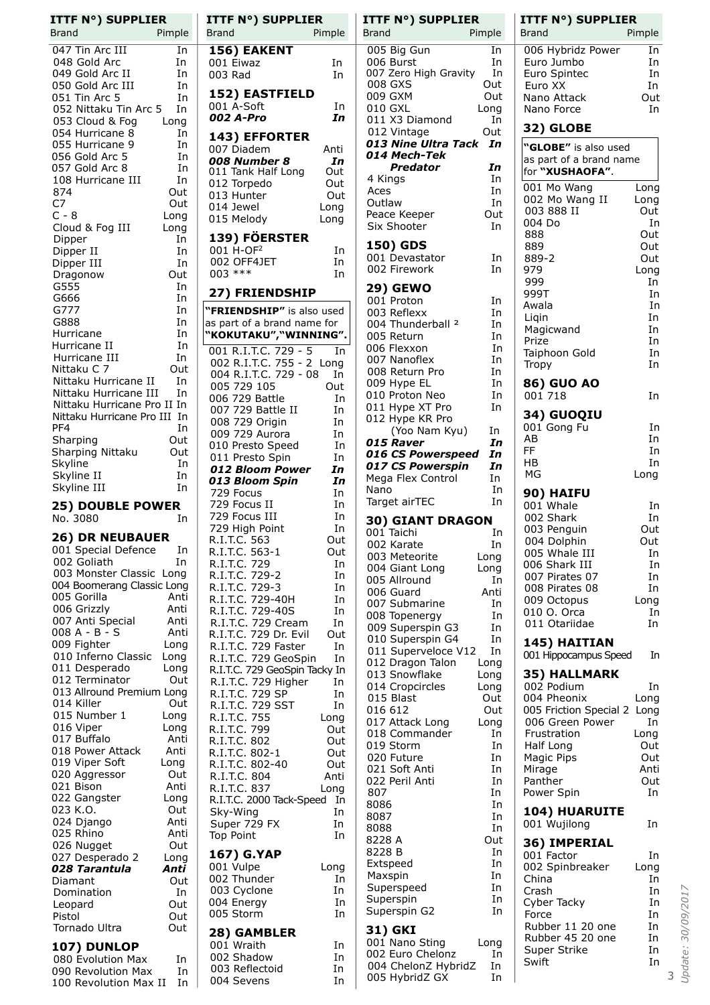| <b>ITTF N°) SUPPLIER</b><br>Brand                                                                                                                                                                                                                                                                                                                                                                                                                                                                                                                                                                                                                     | Pimple                                                                                                                                                                                                                           |  |
|-------------------------------------------------------------------------------------------------------------------------------------------------------------------------------------------------------------------------------------------------------------------------------------------------------------------------------------------------------------------------------------------------------------------------------------------------------------------------------------------------------------------------------------------------------------------------------------------------------------------------------------------------------|----------------------------------------------------------------------------------------------------------------------------------------------------------------------------------------------------------------------------------|--|
| 047 Tin Arc III<br>048 Gold Arc<br>049 Gold Arc II<br>050 Gold Arc III<br>051 Tin Arc 5<br>052 Nittaku Tin Arc 5<br>053 Cloud & Fog<br>054 Hurricane 8<br>055 Hurricane 9<br>056 Gold Arc 5<br>057 Gold Arc 8<br>108 Hurricane III<br>874<br>C7<br>$C - 8$<br>Cloud & Fog III<br>Dipper<br>Dipper II<br>Dipper III<br>Dragonow<br>G555<br>G666<br>G777<br>G888<br>Hurricane<br>Hurricane II<br>Hurricane III<br>Nittaku C 7<br>Nittaku Hurricane II<br>Nittaku Hurricane III<br>Nittaku Hurricane Pro II In<br>Nittaku Hurricane Pro III In<br>PF4<br>Sharping<br>Sharping Nittaku<br>Skyline<br>Skyline II<br>Skyline III<br><b>25) DOUBLE POWER</b> | In<br>In<br>In<br>In<br>In<br>In<br>Long<br>In<br>In<br>In<br>In<br>In<br>Out<br>Out<br>Long<br>Long<br>In<br>In<br>In<br>Out<br>In<br>In<br>In<br>In<br>In<br>In<br>In<br>Out<br>In<br>In<br>In<br>Out<br>Out<br>In<br>In<br>In |  |
| No. 3080<br><b>26) DR NEUBAUER</b>                                                                                                                                                                                                                                                                                                                                                                                                                                                                                                                                                                                                                    | In                                                                                                                                                                                                                               |  |
| 001 Special Defence<br>002 Goliath<br>003 Monster Classic Long<br>004 Boomerang Classic Long<br>005 Gorilla<br>006 Grizzly<br>007 Anti Special<br>008 A - B - S<br>009 Fighter<br>010 Inferno Classic<br>011 Desperado<br>012 Terminator<br>013 Allround Premium Long<br>014 Killer<br>015 Number 1<br>016 Viper<br>017 Buffalo<br>018 Power Attack<br>019 Viper Soft<br>020 Aggressor<br>021 Bison<br>022 Gangster<br>023 K.O.<br>024 Django<br>025 Rhino<br>026 Nugget<br>027 Desperado 2<br>028 Tarantula<br>Diamant<br>Domination<br>Leopard<br>Pistol<br>Tornado Ultra                                                                           | In<br>In<br>Anti<br>Anti<br>Anti<br>Anti<br>Long<br>Long<br>Long<br>Out<br>Out<br>Long<br>Long<br>Anti<br>Anti<br>Long<br>Out<br>Anti<br>Long<br>Out<br>Anti<br>Anti<br>Out<br>Long<br>Anti<br>Out<br>In<br>Out<br>Out<br>Out    |  |
| 107) DUNLOP<br>080 Evolution Max<br>090 Revolution Max<br>100 Revolution Max II                                                                                                                                                                                                                                                                                                                                                                                                                                                                                                                                                                       | In<br>In<br>In                                                                                                                                                                                                                   |  |
|                                                                                                                                                                                                                                                                                                                                                                                                                                                                                                                                                                                                                                                       |                                                                                                                                                                                                                                  |  |

| <b>ITTF N°) SUPPLIER</b><br><b>Brand</b>                                                  | Pimple                     |
|-------------------------------------------------------------------------------------------|----------------------------|
| 156) EAKENT<br>001 Eiwaz<br>003 Rad                                                       | In<br>In                   |
| <b>152) EASTFIELD</b><br>001 Á-Soft<br>002 A-Pro                                          | In<br>In                   |
| 143) EFFORTER<br>007 Diadem<br>008 Number 8<br>011 Tank Half Long                         | Anti<br>In<br>Out          |
| 012 Torpedo<br>013 Hunter<br>014 Jewel<br>015 Melody                                      | Out<br>Out<br>Long<br>Long |
| 139) FÖERSTER<br>001 H-OF <sup>2</sup><br>002 OFF4JET<br>$003$ ***                        | In<br>In<br>In             |
| 27) FRIENDSHIP                                                                            |                            |
| "FRIENDSHIP" is also used<br>as part of a brand name for<br>"KOKUTAKU","WINNING".         |                            |
| 001 R.I.T.C. 729 - 5<br>002 R.I.T.C. 755 - 2 Long<br>004 R.I.T.C. 729 - 08<br>005 729 105 | In<br>In                   |
| 006 729 Battle                                                                            | Out<br>In<br>In            |
| 007 729 Battle II<br>008 729 Origin<br>009 729 Aurora<br>010 Presto Speed                 | In<br>In<br>In             |
| 011 Presto Spin<br>012 Bloom Power<br>013 Bloom Spin                                      | In<br>In<br>In             |
| 729 Focus<br>729 Focus II<br>729 Focus III                                                | In<br>In<br>In             |
| 729 High Point<br>R.I.T.C. 563<br>$563 - 1$<br>R.I.T.C.                                   | In<br>Out<br>Out           |
| R.I.T.C.<br>729<br>R.I.T.C. 729-2<br>R.I.T.C.<br>729-3                                    | In<br>In<br>In             |
| R.I.T.C.<br>729-40H<br>R.I.T.C. 729-40S<br>R.I.T.C. 729 Crea<br>729 Cream                 | In<br>In<br>In             |
| 729 Dr. Evil<br>R.I.T.C.<br>729 Faster<br>R.I.T.C.<br>R.I.T.C.<br>729 GeoSpin             | Out<br>In<br>In            |
| R.I.T.C. 729 GeoSpin Tacky In<br>R.I.T.C. 729 Higher<br>R.I.T.C. 729 SP<br>729 SP         | In<br>In                   |
| R.I.T.C. 729 SST<br>755<br>R.I.T.C.<br>R.I.T.C.<br>799                                    | In<br>Long<br>Out          |
| R.I.T.C. 802<br>R.I.T.C. 802-1<br>R.I.T.C. 802-40                                         | Out<br>Out<br>Out          |
| R.I.T.C. 804<br>R.I.T.C. 837<br>R.I.T.C. 2000 Tack-Speed                                  | Anti<br>Long<br>In         |
| Sky-Wing<br>Super 729 FX<br><b>Top Point</b>                                              | In<br>In<br>In             |
| 167) G.YAP<br>001 Vulpe<br>002 Thunder                                                    | Long<br>In                 |
| 003 Cyclone<br>004 Energy<br>005 Storm                                                    | In<br>In<br>In             |
| 28) GAMBLER<br>001 Wraith<br>002 Shadow                                                   | In<br>In                   |
| 003 Reflectoid<br>004 Sevens                                                              | In<br>In                   |

| ITTF N°) SUPPLIER<br>Brand       | Pimple      | <b>ITTF N°) SUPPLIER</b><br>Brand         | Pimple     |
|----------------------------------|-------------|-------------------------------------------|------------|
|                                  |             |                                           |            |
| 005 Big Gun                      | In          | 006 Hybridz Power                         | In         |
| 006 Burst                        | In          | Euro Jumbo                                | In         |
| 007 Zero High Gravity<br>008 GXS | In          | Euro Spintec                              | In         |
| 009 GXM                          | Out<br>Out  | Euro XX<br>Nano Attack                    | In         |
| 010 GXL                          | Long        | Nano Force                                | Out<br>In  |
| 011 X3 Diamond                   | In          |                                           |            |
| 012 Vintage                      | Out         | 32) GLOBE                                 |            |
| 013 Nine Ultra Tack              | In          | "GLOBE" is also used                      |            |
| 014 Mech-Tek                     |             | as part of a brand name                   |            |
| Predator                         | In          | for "XUSHAOFA".                           |            |
| 4 Kings                          | In          | 001 Mo Wang                               | Long       |
| Aces                             | In          | 002 Mo Wang II                            | Long       |
| Outlaw                           | In          | 003 888 II                                | Out        |
| Peace Keeper<br>Six Shooter      | Out<br>In   | 004 Do                                    | In         |
|                                  |             | 888                                       | Out        |
| 150) GDS                         |             | 889                                       | Out        |
| 001 Devastator                   | In          | 889-2                                     | Out        |
| 002 Firework                     | In          | 979                                       | Long       |
| 29) GEWO                         |             | 999                                       | In         |
| 001 Proton                       | In          | 999T                                      | In         |
| 003 Reflexx                      | In          | Awala                                     | In<br>In   |
| 004 Thunderball <sup>2</sup>     | In          | Ligin<br>Magicwand                        | In         |
| 005 Return                       | In          | Prize                                     | In         |
| 006 Flexxon                      | In          | Taiphoon Gold                             | In         |
| 007 Nanoflex                     | In          | <b>Tropy</b>                              | In         |
| 008 Return Pro                   | In          |                                           |            |
| 009 Hype EL<br>010 Proton Neo    | In<br>In    | <b>86) GUO AO</b><br>001 718              |            |
| 011 Hype XT Pro                  | In          |                                           | In         |
| 012 Hype KR Pro                  |             | 34) GUOQIU                                |            |
| (Yoo Nam Kyu)                    | In          | 001 Gong Fu                               | In         |
| 015 Raver                        | In          | AB                                        | In         |
| 016 CS Powerspeed                | In          | FF                                        | In         |
| 017 CS Powerspin                 | In          | НB                                        | In         |
| Mega Flex Control                | In          | ΜG                                        | Long       |
| Nano                             | In          | 90) HAIFU                                 |            |
| Target airTEC                    | In          | 001 Whale                                 | In         |
| <b>30) GIANT DRAGON</b>          |             | 002 Shark                                 | In         |
| 001 Taichi                       | In          | 003 Penguin                               | Out        |
| 002 Karate                       | In          | 004 Dolphin                               | Out        |
| 003 Meteorite                    | Long        | 005 Whale III<br>006 Shark III            | In<br>In   |
| 004 Giant Long                   | Long        | 007 Pirates 07                            | In         |
| 005 Allround<br>006 Guard        | In<br>Anti  | 008 Pirates 08                            | In         |
| 007 Submarine                    | In          | 009 Octopus                               | Long       |
| 008 Topenergy                    | In          | 010 O. Orca                               | In         |
| 009 Superspin G3                 | In          | 011 Otariidae                             | In         |
| 010 Superspin G4                 | In          | 145) HAITIAN                              |            |
| 011 Superveloce V12              | In          | 001 Hippocampus Speed                     | In         |
| 012 Dragon Talon                 | Long        |                                           |            |
| 013 Snowflake                    | Long        | 35) HALLMARK                              |            |
| 014 Cropcircles                  | Long        | 002 Podium                                | In         |
| 015 Blast                        | Out         | 004 Pheonix                               | Long       |
| 016 612<br>017 Attack Long       | Out<br>Long | 005 Friction Special 2<br>006 Green Power | Long<br>In |
| 018 Commander                    | In          | Frustration                               | Long       |
| 019 Storm                        | In          | Half Long                                 | Out        |
| 020 Future                       | In          | Magic Pips                                | Out        |
| 021 Soft Anti                    | In          | Mirage                                    | Anti       |
| 022 Peril Anti                   | In          | Panther                                   | Out        |
| 807                              | In          | Power Spin                                | In         |
| 8086                             | In          | <b>104) HUARUITE</b>                      |            |
| 8087                             | In          | 001 Wujilong                              | In         |
| 8088                             | In          |                                           |            |
| 8228 A<br>8228 B                 | Out<br>In   | 36) IMPERIAL                              |            |
| Extspeed                         | In          | 001 Factor                                | In         |
| Maxspin                          | In          | 002 Spinbreaker                           | Long       |
| Superspeed                       | In          | China<br>Crash                            | In<br>In   |
| Superspin                        | In          | Cyber Tacky                               | In         |
| Superspin G2                     | In          | Force                                     | In         |
|                                  |             | Rubber 11 20 one                          | In         |
| 31) GKI<br>001 Nano Sting        | Long        | Rubber 45 20 one                          | In         |
| 002 Euro Chelonz                 | In          | Super Strike                              | In         |
| 004 ChelonZ HybridZ              | In          | Swift                                     | In         |
| 005 HybridZ GX                   | In          |                                           |            |
|                                  |             |                                           |            |

| Nano Attack                                                        | Out                     |
|--------------------------------------------------------------------|-------------------------|
| Nano Force                                                         | In                      |
| 32) GLOBE                                                          |                         |
| "GLOBE" is also used<br>as part of a brand name<br>for "XUSHAOFA". |                         |
| 001 Mo Wang                                                        | Long                    |
| 002 Mo Wang II                                                     | Long                    |
| 003 888 II                                                         | Out                     |
| 004 Do<br>888<br>889<br>889-2                                      | In<br>Out<br>Out        |
| 979<br>999<br>999T                                                 | Out<br>Long<br>In<br>In |
| Awala                                                              | In                      |
| Ligin                                                              | In                      |
| Magicwand                                                          | In                      |
| Prize                                                              | In                      |
| Taiphoon Gold                                                      | In                      |
| Tropy                                                              | In                      |
| 86) GUO AO<br>001 718                                              | In                      |
| 34) GUOQIU<br>001 Gong Fu<br>AB                                    | In<br>In                |
| FF                                                                 | In                      |
| HB                                                                 | In                      |
| МG                                                                 | Long                    |
| 90) HAIFU<br>001 Whale<br>002 Shark                                | In<br>In                |
| 003 Penguin                                                        | Out                     |
| 004 Dolphin                                                        | Out                     |
| 005 Whale III                                                      | In                      |
| 006 Shark III                                                      | In                      |
| 007 Pirates 07                                                     | In                      |
| 008 Pirates 08                                                     | In                      |
| 009 Octopus                                                        | Long                    |
| 010 O. Orca                                                        | In                      |
| 011 Otariidae                                                      | In                      |
| 145) HAITIAN<br>001 Hippocampus Speed<br>35) HALLMARK              | In                      |
| 002 Podium                                                         | In                      |
| 004 Pheonix                                                        | Long                    |
| 005 Friction Special 2                                             | Long                    |
| 006 Green Power                                                    | In                      |
| Frustration                                                        | Long                    |
| Half Long                                                          | Out                     |
| Magic Pips                                                         | Out                     |
| Mirage                                                             | Anti                    |
| Panther                                                            | Out                     |
| Power Spin                                                         | In                      |
| <b>104) HUARUITE</b><br>001 Wujilong                               | In                      |
| 36) IMPERIAL<br>001 Factor                                         | In                      |
| 002 Spinbreaker                                                    | Long                    |
| China                                                              | In                      |
| Crash                                                              | In                      |
| Cyber Tacky                                                        | In                      |
| Force                                                              | In                      |
| Rubber 11 20 one                                                   | In                      |
| Rubber 45 20 one                                                   | In                      |
| Super Strike                                                       | In                      |
| Swift                                                              | In                      |
|                                                                    | 3                       |
|                                                                    |                         |

*Update: 30/09/2017*

Update: 30/09/2017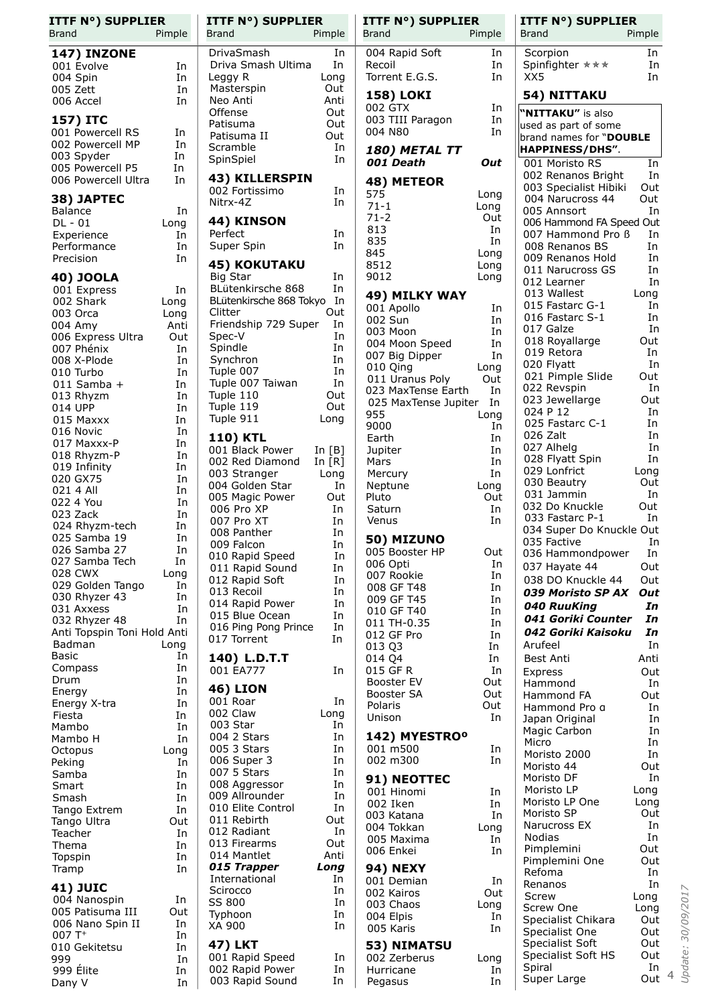| <b>ITTF N°) SUPPLIER</b><br>Brand | Pimple      | <b>ITTF N°) SUPPLIER</b><br><b>Brand</b><br>Pimple |           | <b>ITTF N°) SUPPLIER</b><br><b>Brand</b> | Pimple     | <b>ITTF N°) SUPPLIER</b><br>Brand           | Pimple     |  |
|-----------------------------------|-------------|----------------------------------------------------|-----------|------------------------------------------|------------|---------------------------------------------|------------|--|
| <b>147) INZONE</b>                |             | DrivaSmash                                         |           | 004 Rapid Soft                           | In         | Scorpion                                    | In         |  |
| 001 Evolve                        | In          | Driva Smash Ultima                                 | In<br>In  | Recoil                                   | In         | Spinfighter ***                             | In         |  |
| 004 Spin                          | In          | Leggy R<br>Long                                    |           | Torrent E.G.S.                           | In         | XX5                                         | In         |  |
| 005 Zett                          | In          | Masterspin                                         | Out       |                                          |            |                                             |            |  |
| 006 Accel                         | In          | Neo Anti                                           | Anti      | <b>158) LOKI</b>                         |            | 54) NITTAKU                                 |            |  |
| 157) ITC                          |             | Offense                                            | Out       | 002 GTX<br>003 TIII Paragon              | In<br>In   | "NITTAKU" is also                           |            |  |
| 001 Powercell RS                  | In          | Patisuma                                           | Out       | 004 N80                                  | In         | used as part of some                        |            |  |
| 002 Powercell MP                  | In          | Patisuma II<br>Scramble                            | Out<br>In |                                          |            | brand names for "DOUBLE                     |            |  |
| 003 Spyder                        | In          | SpinSpiel                                          | In        | <i><b>180) METAL TT</b></i>              |            | HAPPINESS/DHS".                             |            |  |
| 005 Powercell P5                  | In          |                                                    |           | 001 Death                                | Out        | 001 Moristo RS                              | In         |  |
| 006 Powercell Ultra               | In          | 43) KILLERSPIN                                     |           | 48) METEOR                               |            | 002 Renanos Bright<br>003 Specialist Hibiki | In<br>Out  |  |
| 38) JAPTEC                        |             | 002 Fortissimo                                     | In        | 575                                      | Long       | 004 Narucross 44                            | Out        |  |
| <b>Balance</b>                    | In          | Nitrx-4Z                                           | In        | $71 - 1$                                 | Long       | 005 Annsort                                 | In         |  |
| $DL - 01$                         | Long        | 44) KINSON                                         |           | $71 - 2$<br>813                          | Out        | 006 Hammond FA Speed Out                    |            |  |
| Experience                        | In          | Perfect                                            | In        | 835                                      | In<br>In   | 007 Hammond Pro B                           | In         |  |
| Performance                       | In          | Super Spin                                         | In        | 845                                      | Long       | 008 Renanos BS                              | In         |  |
| Precision                         | In          | <b>45) KOKUTAKU</b>                                |           | 8512                                     | Long       | 009 Renanos Hold<br>011 Narucross GS        | In<br>In   |  |
| 40) JOOLA                         |             | Big Star                                           | In        | 9012                                     | Long       | 012 Learner                                 | In         |  |
| 001 Express                       | In          | BLütenkirsche 868                                  | In        | 49) MILKY WAY                            |            | 013 Wallest                                 | Long       |  |
| 002 Shark                         | Long        | BLütenkirsche 868 Tokyo In                         |           | 001 Apollo                               | In         | 015 Fastarc G-1                             | In         |  |
| 003 Orca                          | Long        | Clitter<br>Friendship 729 Super                    | Out<br>In | 002 Sun                                  | In         | 016 Fastarc S-1                             | In         |  |
| 004 Amy<br>006 Express Ultra      | Anti<br>Out | Spec-V                                             | In        | 003 Moon                                 | In         | 017 Galze                                   | In         |  |
| 007 Phénix                        | In          | Spindle                                            | In.       | 004 Moon Speed                           | In         | 018 Royallarge                              | Out        |  |
| 008 X-Plode                       | In          | Synchron                                           | In        | 007 Big Dipper                           | In         | 019 Retora<br>020 Flyatt                    | In<br>In   |  |
| 010 Turbo                         | In          | Tuple 007                                          | In        | 010 Qing                                 | Long       | 021 Pimple Slide                            | Out        |  |
| $011$ Samba +                     | In          | Tuple 007 Taiwan                                   | In        | 011 Uranus Poly<br>023 MaxTense Earth    | Out<br>In  | 022 Revspin                                 | In         |  |
| 013 Rhyzm                         | In          | Tuple 110                                          | Out       | 025 MaxTense Jupiter                     | In         | 023 Jewellarge                              | Out        |  |
| 014 UPP                           | In          | Tuple 119                                          | Out       | 955                                      | Long       | 024 P 12                                    | In         |  |
| 015 Maxxx<br>016 Novic            | In<br>In    | Tuple 911<br>Long                                  |           | 9000                                     | In         | 025 Fastarc C-1                             | In         |  |
| 017 Maxxx-P                       | In          | <b>110) KTL</b>                                    |           | Earth                                    | In         | 026 Zalt                                    | In         |  |
| 018 Rhyzm-P                       | In          | 001 Black Power<br>In $[B]$                        |           | Jupiter                                  | In         | 027 Alhelg                                  | In<br>In   |  |
| 019 Infinity                      | In          | 002 Red Diamond<br>In $[R]$                        |           | Mars                                     | In         | 028 Flyatt Spin<br>029 Lonfrict             | Long       |  |
| 020 GX75                          | In          | 003 Stranger<br>Long<br>004 Golden Star            | In        | Mercury<br>Neptune                       | In<br>Long | 030 Beautry                                 | Out        |  |
| 021 4 All                         | In          | 005 Magic Power                                    | Out       | Pluto                                    | Out        | 031 Jammin                                  | In         |  |
| 022 4 You                         | In          | 006 Pro XP                                         | In        | Saturn                                   | In         | 032 Do Knuckle                              | Out        |  |
| 023 Zack                          | In          | 007 Pro XT                                         | In        | Venus                                    | In         | 033 Fastarc P-1                             | In         |  |
| 024 Rhyzm-tech<br>025 Samba 19    | In<br>In    | 008 Panther                                        | In        |                                          |            | 034 Super Do Knuckle Out                    |            |  |
| 026 Samba 27                      | In          | 009 Falcon                                         | In        | 50) MIZUNO<br>005 Booster HP             | Out        | 035 Factive                                 | In         |  |
| 027 Samba Tech                    | In          | 010 Rapid Speed                                    | In        | 006 Opti                                 | In         | 036 Hammondpower                            | In<br>Out  |  |
| 028 CWX                           | Long        | 011 Rapid Sound<br>012 Rapid Soft                  | In<br>In  | 007 Rookie                               | In         | 037 Hayate 44<br>038 DO Knuckle 44          | Out        |  |
| 029 Golden Tango                  | In          | 013 Recoil                                         | In        | 008 GF T48                               | In         | 039 Moristo SP AX                           | Out        |  |
| 030 Rhyzer 43                     | In          | 014 Rapid Power                                    | In        | 009 GF T45                               | In         | 040 RuuKing                                 | In         |  |
| 031 Axxess<br>032 Rhyzer 48       | In<br>In    | 015 Blue Ocean                                     | In        | 010 GF T40                               | In         | 041 Goriki Counter                          | In         |  |
| Anti Topspin Toni Hold Anti       |             | 016 Ping Pong Prince                               | In        | 011 TH-0.35<br>012 GF Pro                | In<br>In   | 042 Goriki Kaisoku                          | In         |  |
| Badman                            | Long        | 017 Torrent                                        | In        | 013 Q3                                   | In         | Arufeel                                     | In         |  |
| Basic                             | In          | 140) L.D.T.T                                       |           | 014 Q4                                   | In         | Best Anti                                   | Anti       |  |
| Compass                           | In          | 001 EA777                                          | In        | 015 GF R                                 | In         | Express                                     | Out        |  |
| Drum                              | In          |                                                    |           | Booster EV                               | Out        | Hammond                                     | In         |  |
| Energy                            | In          | <b>46) LION</b><br>001 Roar                        | In        | Booster SA                               | Out        | Hammond FA                                  | Out        |  |
| Energy X-tra                      | In<br>In    | 002 Claw<br>Long                                   |           | Polaris                                  | Out        | Hammond Pro a                               | In         |  |
| Fiesta<br>Mambo                   | In          | 003 Star                                           | In        | Unison                                   | In         | Japan Original                              | In         |  |
| Mambo H                           | In          | 004 2 Stars                                        | In        | 142) MYESTRO <sup>o</sup>                |            | Magic Carbon                                | In         |  |
| Octopus                           | Long        | 005 3 Stars                                        | In        | 001 m500                                 | In         | Micro<br>Moristo 2000                       | In<br>In   |  |
| Peking                            | In          | 006 Super 3                                        | In        | 002 m300                                 | In         | Moristo 44                                  | Out        |  |
| Samba                             | In          | 007 5 Stars                                        | In        | 91) NEOTTEC                              |            | Moristo DF                                  | In         |  |
| Smart                             | In          | 008 Aggressor                                      | In        | 001 Hinomi                               | In         | Moristo LP                                  | Long       |  |
| Smash                             | In          | 009 Allrounder<br>010 Elite Control                | In<br>In  | 002 Iken                                 | In         | Moristo LP One                              | Long       |  |
| Tango Extrem<br>Tango Ultra       | In<br>Out   | 011 Rebirth                                        | Out       | 003 Katana                               | In         | Moristo SP                                  | Out        |  |
| Teacher                           | In          | 012 Radiant                                        | In        | 004 Tokkan                               | Long       | Narucross EX                                | In         |  |
| Thema                             | In          | 013 Firearms                                       | Out       | 005 Maxima                               | In         | <b>Nodias</b>                               | In         |  |
| Topspin                           | In          | 014 Mantlet                                        | Anti      | 006 Enkei                                | In         | Pimplemini<br>Pimplemini One                | Out<br>Out |  |
| Tramp                             | In          | 015 Trapper<br>Long                                |           | <b>94) NEXY</b>                          |            | Refoma                                      | In         |  |
| <b>41) JUIC</b>                   |             | International                                      | In        | 001 Demian                               | In         | Renanos                                     | In         |  |
| 004 Nanospin                      | In          | Scirocco<br>SS 800                                 | In<br>In  | 002 Kairos                               | Out        | Screw                                       | Long       |  |
| 005 Patisuma III                  | Out         | Typhoon                                            | In        | 003 Chaos                                | Long       | Screw One                                   | Long       |  |
| 006 Nano Spin II                  | In          | XA 900                                             | In        | 004 Elpis<br>005 Karis                   | In<br>In   | Specialist Chikara                          | Out        |  |
| $007T+$                           | In          |                                                    |           |                                          |            | Specialist One                              | Out        |  |
| 010 Gekitetsu                     | In          | 47) LKT                                            |           | 53) NIMATSU                              |            | Specialist Soft<br>Specialist Soft HS       | Out<br>Out |  |
| 999<br>999 Élite                  | In<br>In    | 001 Rapid Speed<br>002 Rapid Power                 | In<br>In  | 002 Zerberus<br>Hurricane                | Long<br>In | Spiral                                      | In         |  |
| Dany V                            | In          | 003 Rapid Sound                                    | In        | Pegasus                                  | In         | Super Large                                 | Out $4$    |  |
|                                   |             |                                                    |           |                                          |            |                                             |            |  |

*Update: 30/09/2017*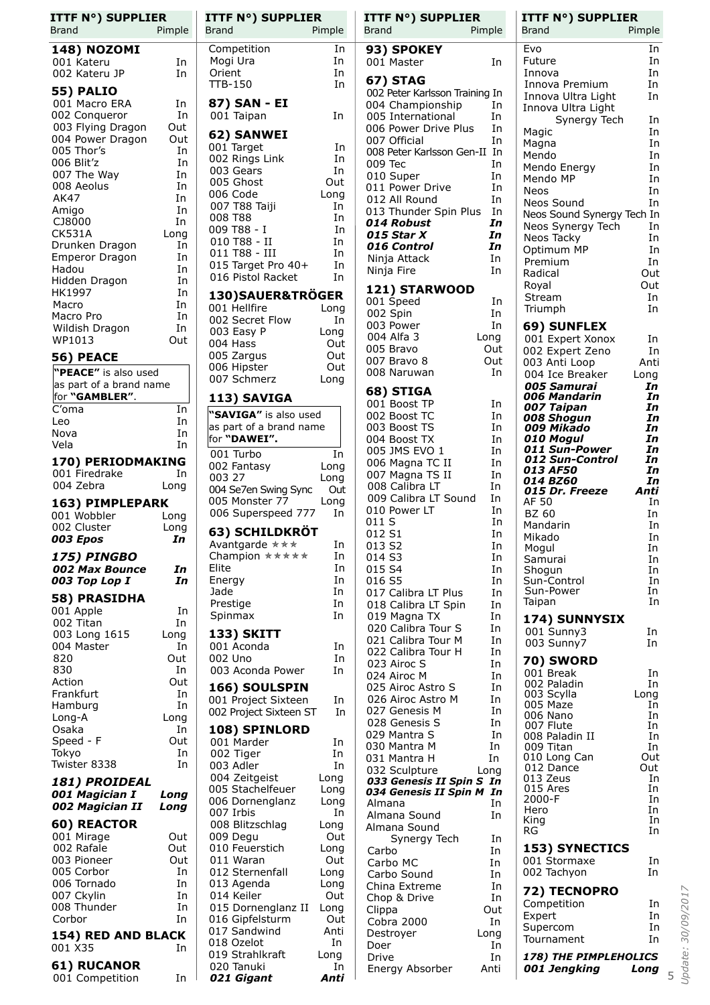| ITTF N°) SUPPLIER<br>Brand         | Pimple     |
|------------------------------------|------------|
| <b>148) NOZOMI</b>                 |            |
| 001 Kateru<br>002 Kateru JP        | In<br>In   |
| <b>55) PALIO</b>                   |            |
| 001 Macro ERA                      | In         |
| 002 Conqueror                      | In         |
| 003 Flying Dragon                  | Out        |
| 004 Power Dragon                   | Out        |
| 005 Thor's<br>006 Blit'z           | In<br>In   |
| 007 The Way                        | In         |
| 008 Aeolus                         | In         |
| <b>AK47</b>                        | In         |
| Amigo                              | In         |
| CJ8000<br><b>CK531A</b>            | In         |
| Drunken Dragon                     | Long<br>In |
| Emperor Dragon                     | In         |
| Hadou                              | In         |
| Hidden Dragon                      | In         |
| HK1997                             | In         |
| Macro<br>Macro Pro                 | In<br>In   |
| Wildish Dragon                     | In         |
| WP1013                             | Out        |
| 56) PEACE                          |            |
| "PEACE" is also used               |            |
| as part of a brand name            |            |
| for "GAMBLER".                     |            |
| C'oma                              | In         |
| Leo                                | In         |
| Nova<br>Vela                       | In<br>In   |
| 170) PERIODMAKING                  |            |
| 001 Firedrake                      | In         |
| 004 Zebra                          | Long       |
| 163) PIMPLEPARK                    |            |
| 001 Wobbler                        | Long       |
| 002 Cluster                        | Long       |
| 003 Epos                           | In         |
| 175) PINGBO<br>002 Max Bounce      | In         |
| 003 Top Lop I                      | In         |
| 58) PRASIDHA                       |            |
| 001 Apple                          | In         |
| 002 Titan                          | In         |
| 003 Long 1615                      | Long       |
| 004 Master<br>820                  | In         |
|                                    |            |
|                                    | Out        |
| 830<br>Action                      | In<br>Out  |
| Frankfurt                          | In         |
| Hamburg                            | In         |
| Long-A                             | Long       |
| Osaka                              | In         |
| Speed - F<br>Tokyo                 | Out<br>In  |
|                                    | In         |
| 181) PROIDEAL                      |            |
| 001 Magician I                     | Long       |
| 002 Magician II                    | Long       |
| 60) REACTOR                        |            |
| 001 Mirage<br>002 Rafale           | Out<br>Out |
| 003 Pioneer                        | Out        |
| 005 Corbor                         | In         |
| 006 Tornado                        | In         |
| 007 Ckylin                         | In         |
| 008 Thunder<br>Corbor              | In<br>In   |
| Twister 8338<br>154) RED AND BLACK |            |

| <b>61) RUCANOR</b> |
|--------------------|
| 001 Competition    |

| <b>ITTF N°) SUPPLIER</b><br>Brand       | Pimple       |
|-----------------------------------------|--------------|
| Competition                             | In           |
| Mogi Ura                                | In           |
| Orient                                  | In           |
| <b>TTB-150</b>                          | In           |
| 87) SAN - EI                            |              |
| 001 Taipan                              | In           |
| 62) SANWEI<br>001 Target                | In           |
| 002 Rings Link                          | In           |
| 003 Gears                               | In           |
| 005 Ghost                               | Out<br>Long  |
| 006 Code<br>007 T88 Taiji               | In           |
| 008 T88                                 | In           |
| 009 T88 - I<br>010 T88 - II             | In<br>In     |
| 011 T88 - III                           | In           |
| 015 Target Pro 40+<br>016 Pistol Racket | In           |
|                                         | In           |
| 130)SAUER&TRÖGER<br>001 Hellfire        | Long         |
| 002 Secret Flow                         | In           |
| 003 Easy P                              | Long         |
| 004 Hass<br>005 Zargus                  | Out<br>Out   |
| 006 Hipster                             | Out          |
| 007 Schmerz                             | Long         |
| 113) SAVIGA                             |              |
| "SAVIGA" is also used                   |              |
| as part of a brand name<br>for "DAWEI". |              |
| 001 Turbo                               | In           |
| 002 Fantasy<br>003 27                   | Long<br>Long |
| 004 Se7en Swing Sync                    | Out          |
| 005 Monster 77                          | Long         |
| 006 Superspeed 777                      | In           |
| 63) SCHILDKRÖT                          | In           |
| Avantgarde ***<br>Champion *****        | In           |
| Elite                                   | In           |
| Energy<br>Jade                          | In<br>In     |
| Prestige                                | In           |
| Spinmax                                 | In           |
| 133) SKITT                              |              |
| 001 Aconda<br>002 Uno                   | In<br>In     |
| 003 Aconda Power                        | In           |
| 166) SOULSPIN                           |              |
| 001 Project Sixteen                     | In           |
| 002 Project Sixteen ST                  | In           |
| 108) SPINLORD<br>001 Marder             | In           |
| 002 Tiger                               | In           |
| 003 Adler                               | In           |
| 004 Zeitgeist<br>005 Stachelfeuer       | Long<br>Long |
| 006 Dornenglanz                         | Long         |
| 007 Irbis                               | In           |
| 008 Blitzschlag<br>009 Degu             | Long<br>Out  |
| 010 Feuerstich                          | Long         |
| 011 Waran<br>012 Sternenfall            | Out          |
| 013 Agenda                              | Long<br>Long |
| 014 Keiler                              | Out          |
| 015 Dornenglanz II<br>016 Gipfelsturm   | Long<br>Out  |
| 017 Sandwind                            | Anti         |
| 018 Ozelot                              | In           |
| 019 Strahlkraft<br>020 Tanuki           | Long<br>In   |

021 Gigant

In

Anti

| <b>ITTF N°) SUPPLIER</b><br>Pimple<br>Brand          | <b>ITTF N°) SUPPLIER</b><br><b>Brand</b><br>Pimple    |
|------------------------------------------------------|-------------------------------------------------------|
| 93) SPOKEY                                           | Evo<br>In                                             |
| 001 Master<br>In                                     | In<br>Future                                          |
| <b>67) STAG</b>                                      | In<br>Innova<br>Innova Premium<br>In                  |
| 002 Peter Karlsson Training In                       | Innova Ultra Light<br>In                              |
| 004 Championship<br>In<br>005 International<br>In    | Innova Ultra Light                                    |
| 006 Power Drive Plus<br>In                           | Synergy Tech<br>In<br>In<br>Magic                     |
| 007 Official<br>In                                   | In<br>Magna                                           |
| 008 Peter Karlsson Gen-II In<br>In<br>009 Tec        | In<br>Mendo                                           |
| 010 Super<br>In                                      | Mendo Energy<br>In<br>In<br>Mendo MP                  |
| 011 Power Drive<br>In                                | In<br>Neos                                            |
| 012 All Round<br>In<br>013 Thunder Spin Plus<br>In   | Neos Sound<br>In                                      |
| 014 Robust<br>In                                     | Neos Sound Synergy Tech In<br>In<br>Neos Synergy Tech |
| 015 Star X<br>In                                     | In<br>Neos Tacky                                      |
| In<br>016 Control<br>In<br>Ninja Attack              | In<br>Optimum MP                                      |
| In<br>Ninja Fire                                     | Premium<br>In<br>Out<br>Radical                       |
| 121) STARWOOD                                        | Out<br>Royal                                          |
| 001 Speed<br>In                                      | In<br>Stream                                          |
| 002 Spin<br>In                                       | In<br>Triumph                                         |
| In<br>003 Power<br>004 Alfa 3<br>Long                | 69) SUNFLEX<br>001 Expert Xonox<br>In                 |
| 005 Bravo<br>Out                                     | In<br>002 Expert Zeno                                 |
| 007 Bravo 8<br>Out                                   | 003 Anti Loop<br>Anti                                 |
| 008 Naruwan<br>In                                    | 004 Ice Breaker<br>Long<br>005 Samurai<br>In          |
| 68) STIGA                                            | 006 Mandarin<br>In                                    |
| 001 Boost TP<br>In<br>002 Boost TC<br>In             | 007 Taipan<br>In<br>008 Shogun<br>In                  |
| In<br>003 Boost TS                                   | 009 Mikado<br>In                                      |
| 004 Boost TX<br>In                                   | 010 Mogul<br>In<br>011 Sun-Power<br>In                |
| 005 JMS EVO 1<br>In<br>In<br>006 Magna TC II         | 012 Sun-Control<br>In                                 |
| 007 Magna TS II<br>In                                | 013 AF50<br>In<br>014 BZ60<br>In                      |
| 008 Calibra LT<br>In<br>009 Calibra LT Sound<br>In   | Anti<br>015 Dr. Freeze                                |
| 010 Power LT<br>In                                   | AF 50<br>In<br><b>BZ 60</b><br>In                     |
| 011 S<br>In                                          | Mandarin<br>In                                        |
| 012 S1<br>In<br>013 S2<br>In                         | Mikado<br>In                                          |
| 014 S3<br>In                                         | Mogul<br>In<br>Samurai<br>In                          |
| 015 S4<br>In                                         | In<br>Shogun                                          |
| 016 S5<br>In<br>017 Calibra LT Plus<br>In            | In<br>Sun-Control<br>Sun-Power<br>In                  |
| 018 Calibra LT Spin<br>In                            | In<br>Taipan                                          |
| 019 Magna TX<br>In                                   | 174) SUNNYSIX                                         |
| 020 Calibra Tour S<br>In<br>021 Calibra Tour M<br>In | 001 Sunny3<br>In<br>003 Sunny7<br>In                  |
| 022 Calibra Tour H<br>In                             |                                                       |
| 023 Airoc S<br>In<br>024 Airoc M<br>In               | 70) SWORD<br>001 Break<br>In                          |
| 025 Airoc Astro S<br>In                              | 002 Paladin<br>In                                     |
| 026 Airoc Astro M<br>In                              | 003 Scylla<br>Long<br>005 Maze<br>In                  |
| 027 Genesis M<br>In<br>028 Genesis S<br>In           | 006 Nano<br>In                                        |
| 029 Mantra S<br>In                                   | 007 Flute<br>In<br>008 Paladin II<br>In               |
| 030 Mantra M<br>In                                   | 009 Titan<br>In                                       |
| 031 Mantra H<br>In<br>032 Sculpture<br>Long          | 010 Long Can<br>Out<br>012 Dance<br>Out               |
| 033 Genesis II Spin S In                             | 013 Zeus<br>In<br>015 Ares<br>In                      |
| 034 Genesis II Spin M In<br>In<br>Almana             | In<br>2000-F                                          |
| Almana Sound<br>In                                   | Hero<br>In<br>In<br>King                              |
| Almana Sound                                         | In<br>RG                                              |
| Synergy Tech<br>In<br>Carbo<br>In                    | <b>153) SYNECTICS</b>                                 |
| Carbo MC<br>In                                       | 001 Stormaxe<br>In                                    |
| Carbo Sound<br>In<br>China Extreme<br>In             | 002 Tachyon<br>In                                     |
| In<br>Chop & Drive                                   | 72) TECNOPRO                                          |
| Clippa<br>Out                                        | In<br>Competition<br>In<br>Expert                     |
| In<br>Cobra 2000<br>Destroyer<br>Long                | In<br>Supercom                                        |
| In<br>Doer                                           | In<br>Tournament                                      |
| In<br>Drive                                          | 178) THE PIMPLEHOLICS                                 |
| Energy Absorber<br>Anti                              | 001 Jengking<br>Long                                  |

Update: 30/09/2017  $\overline{5}$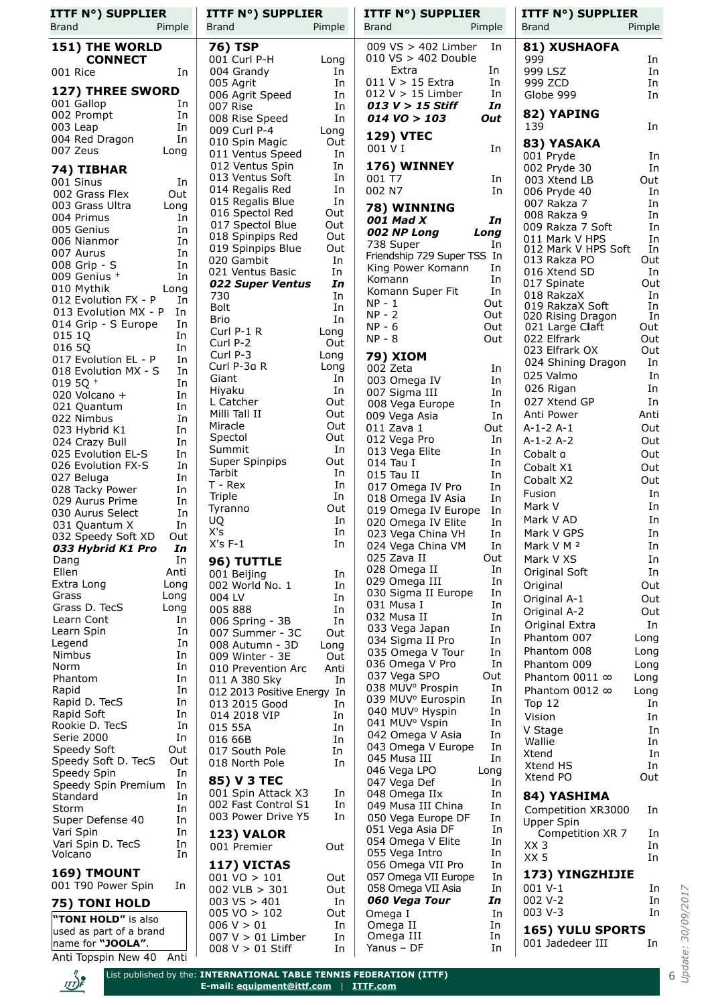| <b>ITTF N°) SUPPLIER</b>                                 | <b>ITTF N°) SUPPLIER</b>                              | <b>ITTF N°) SUPPLIER</b>                                                  | <b>ITTF N°) SUPPLIER</b>                          |
|----------------------------------------------------------|-------------------------------------------------------|---------------------------------------------------------------------------|---------------------------------------------------|
| <b>Brand</b><br>Pimple                                   | <b>Brand</b><br>Pimple                                | <b>Brand</b><br>Pimple                                                    | Brand<br>Pimple                                   |
| 151) THE WORLD                                           | <b>76) TSP</b>                                        | 009 VS > 402 Limber<br>In                                                 | 81) XUSHAOFA                                      |
| <b>CONNECT</b>                                           | 001 Curl P-H<br>Long                                  | $010\ \text{VS} > 402\ \text{Double}$                                     | 999<br>In                                         |
| 001 Rice<br>In                                           | 004 Grandy<br>In                                      | Extra<br>In<br>$011 V > 15$ Extra                                         | 999 LSZ<br>In                                     |
| 127) THREE SWORD                                         | 005 Agrit<br>In<br>In<br>006 Agrit Speed              | In<br>$012 V > 15$ Limber<br>In                                           | 999 ZCD<br>In<br>Globe 999<br>In                  |
| 001 Gallop<br>In                                         | In<br>007 Rise                                        | In<br>013 $V > 15$ Stiff                                                  |                                                   |
| 002 Prompt<br>In                                         | In<br>008 Rise Speed                                  | $014$ VO $> 103$<br>Out                                                   | 82) YAPING                                        |
| In<br>003 Leap<br>In<br>004 Red Dragon                   | 009 Curl P-4<br>Long                                  | <b>129) VTEC</b>                                                          | 139<br>In                                         |
| 007 Zeus<br>Long                                         | 010 Spin Magic<br>Out<br>In<br>011 Ventus Speed       | 001 V I<br>In                                                             | 83) YASAKA                                        |
|                                                          | 012 Ventus Spin<br>In                                 | 176) WINNEY                                                               | 001 Pryde<br>In<br>002 Pryde 30<br>In             |
| 74) TIBHAR<br>001 Sinus<br>In                            | In<br>013 Ventus Soft                                 | 001 T7<br>In                                                              | Out<br>003 Xtend LB                               |
| Out<br>002 Grass Flex                                    | In<br>014 Regalis Red                                 | 002 N7<br>In                                                              | In<br>006 Pryde 40                                |
| 003 Grass Ultra<br>Long                                  | In<br>015 Regalis Blue                                | 78) WINNING                                                               | 007 Rakza 7<br>In                                 |
| 004 Primus<br>In                                         | Out<br>016 Spectol Red<br>Out<br>017 Spectol Blue     | 001 Mad X<br>In                                                           | In<br>008 Rakza 9                                 |
| 005 Genius<br>In<br>In<br>006 Nianmor                    | Out<br>018 Spinpips Red                               | 002 NP Long<br>Long                                                       | In<br>009 Rakza 7 Soft<br>In<br>011 Mark V HPS    |
| 007 Aurus<br>In                                          | Out<br>019 Spinpips Blue                              | 738 Super<br>In<br>Friendship 729 Super TSS In                            | In<br>012 Mark V HPS Soft                         |
| In<br>008 Grip - S                                       | In<br>020 Gambit                                      | King Power Komann<br>In                                                   | Out<br>013 Rakza PO                               |
| 009 Genius +<br>In                                       | In<br>021 Ventus Basic<br>In                          | Komann<br>In                                                              | 016 Xtend SD<br>In<br>Out<br>017 Spinate          |
| 010 Mythik<br>Long                                       | 022 Super Ventus<br>730<br>In                         | In<br>Komann Super Fit                                                    | 018 RakzaX<br>In                                  |
| 012 Evolution FX - P<br>In<br>013 Evolution MX - P<br>In | <b>Bolt</b><br>In                                     | NP - 1<br>Out                                                             | 019 RakzaX Soft<br>In                             |
| 014 Grip - S Europe<br>In                                | In<br>Brio                                            | $NP - 2$<br>Out<br>$NP - 6$<br>Out                                        | In<br>020 Rising Dragon<br>021 Large Claft<br>Out |
| 015 1Q<br>In                                             | Curl $P-1$ R<br>Long                                  | $NP - 8$<br>Out                                                           | 022 Elfrark<br>Out                                |
| 016 5Q<br>In                                             | Out<br>Curl P-2<br>Curl P-3<br>Long                   |                                                                           | Out<br>023 Elfrark OX                             |
| 017 Evolution EL - P<br>In                               | Curl P-3a R<br>Long                                   | <b>79) XIOM</b><br>002 Zeta<br>In                                         | In<br>024 Shining Dragon                          |
| 018 Evolution MX - S<br>In<br>019 5Q +<br>In             | Giant<br>In                                           | 003 Omega IV<br>In                                                        | 025 Valmo<br>In                                   |
| 020 Volcano +<br>In                                      | In<br>Hiyaku                                          | 007 Sigma III<br>In                                                       | In<br>026 Rigan                                   |
| In<br>021 Quantum                                        | L Catcher<br>Out                                      | 008 Vega Europe<br>In                                                     | In<br>027 Xtend GP                                |
| 022 Nimbus<br>In                                         | Milli Tall II<br>Out<br>Miracle<br>Out                | In<br>009 Vega Asia<br>011 Zava 1<br>Out                                  | Anti Power<br>Anti<br>Out                         |
| 023 Hybrid K1<br>In                                      | Spectol<br>Out                                        | 012 Vega Pro<br>In                                                        | A-1-2 A-1<br>$A-1-2A-2$<br>Out                    |
| 024 Crazy Bull<br>In<br>025 Evolution EL-S<br>In         | In<br>Summit                                          | 013 Vega Elite<br>In                                                      | Out<br>Cobalt a                                   |
| 026 Evolution FX-S<br>In                                 | Super Spinpips<br>Out                                 | 014 Tau I<br>In                                                           | Out<br>Cobalt X1                                  |
| 027 Beluga<br>In                                         | Tarbit<br>In<br>$T - Rex$<br>In                       | In<br>015 Tau II                                                          | Out<br>Cobalt X2                                  |
| 028 Tacky Power<br>In                                    | Triple<br>In                                          | 017 Omega IV Pro<br>In<br>In<br>018 Omega IV Asia                         | In<br>Fusion                                      |
| 029 Aurus Prime<br>In<br>In<br>030 Aurus Select          | Out<br>Tyranno                                        | In<br>019 Omega IV Europe                                                 | In<br>Mark V                                      |
| In<br>031 Quantum X                                      | In<br>UQ                                              | In<br>020 Omega IV Elite                                                  | Mark V AD<br>In                                   |
| 032 Speedy Soft XD<br>Out                                | X's<br>In                                             | In<br>023 Vega China VH                                                   | Mark V GPS<br>In                                  |
| 033 Hybrid K1 Pro<br>In                                  | $X's F-1$<br>In                                       | 024 Vega China VM<br>In                                                   | Mark V M <sup>2</sup><br>In                       |
| In<br>Dang                                               | 96) TUTTLE                                            | 025 Zava II<br>Out<br>028 Omega II<br>In                                  | In<br>Mark V XS                                   |
| Ellen<br>Anti<br>Extra Long<br>Long                      | 001 Beijing<br>In<br>002 World No. 1<br>In            | In<br>029 Omega III                                                       | Original Soft<br>In<br>Out<br>Original            |
| Grass<br>Long                                            | 004 LV<br>In                                          | 030 Sigma II Europe<br>In                                                 | Out<br>Original A-1                               |
| Grass D. TecS<br>Long                                    | 005 888<br>In                                         | 031 Musa I<br>In                                                          | Out<br>Original A-2                               |
| Learn Cont<br>In                                         | In<br>006 Spring - 3B                                 | 032 Musa II<br>In<br>033 Vega Japan<br>In                                 | In<br>Original Extra                              |
| Learn Spin<br>In<br>Legend<br>In                         | 007 Summer - 3C<br>Out                                | In<br>034 Sigma II Pro                                                    | Phantom 007<br>Long                               |
| Nimbus<br>In                                             | 008 Autumn - 3D<br>Long<br>009 Winter - 3E<br>Out     | 035 Omega V Tour<br>In                                                    | Phantom 008<br>Long                               |
| Norm<br>In                                               | 010 Prevention Arc<br>Anti                            | In<br>036 Omega V Pro                                                     | Phantom 009<br>Long                               |
| Phantom<br>In                                            | 011 A 380 Sky<br>In                                   | 037 Vega SPO<br>Out                                                       | Phantom 0011 $\infty$<br>Long                     |
| Rapid<br>In                                              | 012 2013 Positive Energy In                           | 038 MUV <sup>o</sup> Prospin<br>In<br>039 MUV <sup>°</sup> Eurospin<br>In | Phantom 0012 $\infty$<br>Long                     |
| Rapid D. TecS<br>In<br>In<br>Rapid Soft                  | 013 2015 Good<br>In<br>014 2018 VIP<br>In             | 040 MUV <sup>o</sup> Hyspin<br>In                                         | Top $12$<br>In                                    |
| Rookie D. TecS<br>In                                     | 015 55A<br>In                                         | 041 MUV <sup>°</sup> Vspin<br>In                                          | Vision<br>In<br>In<br>V Stage                     |
| Serie 2000<br>In                                         | 016 66B<br>In                                         | 042 Omega V Asia<br>In                                                    | Wallie<br>In                                      |
| Speedy Soft<br>Out                                       | 017 South Pole<br>In                                  | 043 Omega V Europe<br>In<br>045 Musa III<br>In                            | In<br>Xtend                                       |
| Speedy Soft D. TecS<br>Out<br>In<br>Speedy Spin          | 018 North Pole<br>In                                  | 046 Vega LPO<br>Long                                                      | In<br>Xtend HS                                    |
| Speedy Spin Premium<br>In                                | 85) V 3 TEC                                           | 047 Vega Def<br>In                                                        | Xtend PO<br>Out                                   |
| Standard<br>In                                           | 001 Spin Attack X3<br>In                              | 048 Omega IIx<br>In                                                       | 84) YASHIMA                                       |
| Storm<br>In                                              | 002 Fast Control S1<br>In<br>003 Power Drive Y5<br>In | 049 Musa III China<br>In                                                  | Competition XR3000<br>In                          |
| In<br>Super Defense 40                                   |                                                       | In<br>050 Vega Europe DF<br>051 Vega Asia DF<br>In                        | Upper Spin                                        |
| Vari Spin<br>In<br>Vari Spin D. TecS<br>In               | <b>123) VALOR</b>                                     | 054 Omega V Elite<br>In                                                   | Competition XR 7<br>In<br>XX 3<br>In              |
| Volcano<br>In                                            | 001 Premier<br>Out                                    | 055 Vega Intro<br>In                                                      | XX <sub>5</sub><br>In                             |
| 169) TMOUNT                                              | 117) VICTAS                                           | 056 Omega VII Pro<br>In                                                   | 173) YINGZHIJIE                                   |
| 001 T90 Power Spin<br>In                                 | $001 \text{ VO} > 101$<br>Out                         | 057 Omega VII Europe<br>In<br>058 Omega VII Asia<br>In                    | 001 V-1<br>In                                     |
| 75) TONI HOLD                                            | 002 VLB $> 301$<br>Out<br>$003$ VS $> 401$<br>In      | 060 Vega Tour<br>In                                                       | 002 V-2<br>In                                     |
|                                                          | $005 \text{ VO} > 102$<br>Out                         | In<br>Omega I                                                             | 003 V-3<br>In                                     |
| "TONI HOLD" is also<br>used as part of a brand           | 006 V > 01<br>In                                      | Omega II<br>In                                                            | 165) YULU SPORTS                                  |
| name for "JOOLA".                                        | $007 V > 01$ Limber<br>In                             | In<br>Omega III<br>In                                                     | 001 Jadedeer III<br>In                            |
| Anti Topspin New 40 Anti                                 | $008 V > 01$ Stiff<br>In                              | Yanus - DF                                                                |                                                   |